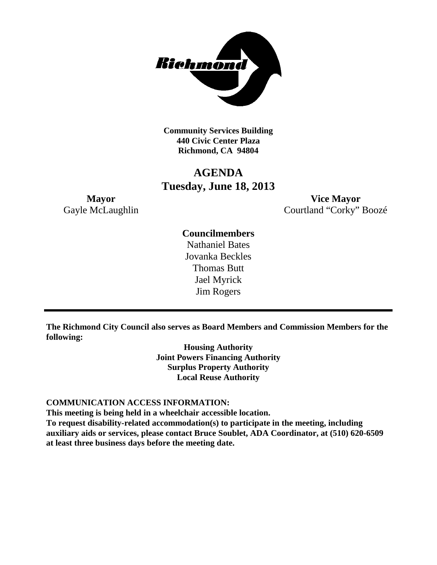

**Community Services Building 440 Civic Center Plaza Richmond, CA 94804**

# **AGENDA Tuesday, June 18, 2013**

**Mayor Vice Mayor** Gayle McLaughlin Courtland "Corky" Boozé

# **Councilmembers**

Nathaniel Bates Jovanka Beckles Thomas Butt Jael Myrick Jim Rogers

**The Richmond City Council also serves as Board Members and Commission Members for the following:**

> **Housing Authority Joint Powers Financing Authority Surplus Property Authority Local Reuse Authority**

#### **COMMUNICATION ACCESS INFORMATION:**

**This meeting is being held in a wheelchair accessible location.**

**To request disability-related accommodation(s) to participate in the meeting, including auxiliary aids or services, please contact Bruce Soublet, ADA Coordinator, at (510) 620-6509 at least three business days before the meeting date.**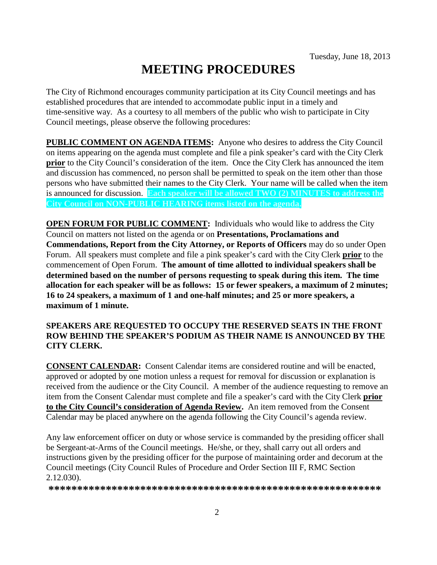# **MEETING PROCEDURES**

The City of Richmond encourages community participation at its City Council meetings and has established procedures that are intended to accommodate public input in a timely and time-sensitive way. As a courtesy to all members of the public who wish to participate in City Council meetings, please observe the following procedures:

**PUBLIC COMMENT ON AGENDA ITEMS:** Anyone who desires to address the City Council on items appearing on the agenda must complete and file a pink speaker's card with the City Clerk **prior** to the City Council's consideration of the item. Once the City Clerk has announced the item and discussion has commenced, no person shall be permitted to speak on the item other than those persons who have submitted their names to the City Clerk. Your name will be called when the item is announced for discussion. **Each speaker will be allowed TWO (2) MINUTES to address the City Council on NON-PUBLIC HEARING items listed on the agenda.**

**OPEN FORUM FOR PUBLIC COMMENT:** Individuals who would like to address the City Council on matters not listed on the agenda or on **Presentations, Proclamations and Commendations, Report from the City Attorney, or Reports of Officers** may do so under Open Forum. All speakers must complete and file a pink speaker's card with the City Clerk **prior** to the commencement of Open Forum. **The amount of time allotted to individual speakers shall be determined based on the number of persons requesting to speak during this item. The time allocation for each speaker will be as follows: 15 or fewer speakers, a maximum of 2 minutes; 16 to 24 speakers, a maximum of 1 and one-half minutes; and 25 or more speakers, a maximum of 1 minute.**

### **SPEAKERS ARE REQUESTED TO OCCUPY THE RESERVED SEATS IN THE FRONT ROW BEHIND THE SPEAKER'S PODIUM AS THEIR NAME IS ANNOUNCED BY THE CITY CLERK.**

**CONSENT CALENDAR:** Consent Calendar items are considered routine and will be enacted, approved or adopted by one motion unless a request for removal for discussion or explanation is received from the audience or the City Council. A member of the audience requesting to remove an item from the Consent Calendar must complete and file a speaker's card with the City Clerk **prior to the City Council's consideration of Agenda Review.** An item removed from the Consent Calendar may be placed anywhere on the agenda following the City Council's agenda review.

Any law enforcement officer on duty or whose service is commanded by the presiding officer shall be Sergeant-at-Arms of the Council meetings. He/she, or they, shall carry out all orders and instructions given by the presiding officer for the purpose of maintaining order and decorum at the Council meetings (City Council Rules of Procedure and Order Section III F, RMC Section 2.12.030).

**\*\*\*\*\*\*\*\*\*\*\*\*\*\*\*\*\*\*\*\*\*\*\*\*\*\*\*\*\*\*\*\*\*\*\*\*\*\*\*\*\*\*\*\*\*\*\*\*\*\*\*\*\*\*\*\*\*\***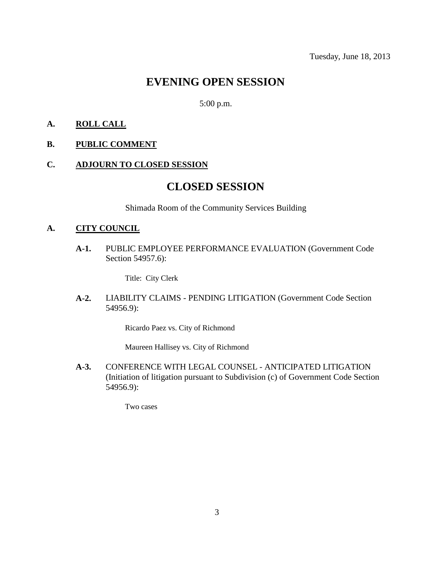# **EVENING OPEN SESSION**

5:00 p.m.

#### **A. ROLL CALL**

#### **B. PUBLIC COMMENT**

#### **C. ADJOURN TO CLOSED SESSION**

# **CLOSED SESSION**

Shimada Room of the Community Services Building

#### **A. CITY COUNCIL**

**A-1.** PUBLIC EMPLOYEE PERFORMANCE EVALUATION (Government Code Section 54957.6):

Title: City Clerk

**A-2.** LIABILITY CLAIMS - PENDING LITIGATION (Government Code Section 54956.9):

Ricardo Paez vs. City of Richmond

Maureen Hallisey vs. City of Richmond

**A-3.** CONFERENCE WITH LEGAL COUNSEL - ANTICIPATED LITIGATION (Initiation of litigation pursuant to Subdivision (c) of Government Code Section 54956.9):

Two cases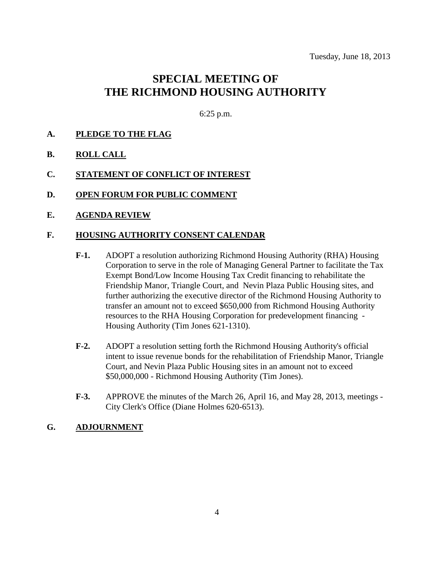# **SPECIAL MEETING OF THE RICHMOND HOUSING AUTHORITY**

6:25 p.m.

### **A. PLEDGE TO THE FLAG**

- **B. ROLL CALL**
- **C. STATEMENT OF CONFLICT OF INTEREST**
- **D. OPEN FORUM FOR PUBLIC COMMENT**
- **E. AGENDA REVIEW**

#### **F. HOUSING AUTHORITY CONSENT CALENDAR**

- **F-1.** ADOPT a resolution authorizing Richmond Housing Authority (RHA) Housing Corporation to serve in the role of Managing General Partner to facilitate the Tax Exempt Bond/Low Income Housing Tax Credit financing to rehabilitate the Friendship Manor, Triangle Court, and Nevin Plaza Public Housing sites, and further authorizing the executive director of the Richmond Housing Authority to transfer an amount not to exceed \$650,000 from Richmond Housing Authority resources to the RHA Housing Corporation for predevelopment financing - Housing Authority (Tim Jones 621-1310).
- **F-2.** ADOPT a resolution setting forth the Richmond Housing Authority's official intent to issue revenue bonds for the rehabilitation of Friendship Manor, Triangle Court, and Nevin Plaza Public Housing sites in an amount not to exceed \$50,000,000 - Richmond Housing Authority (Tim Jones).
- **F-3.** APPROVE the minutes of the March 26, April 16, and May 28, 2013, meetings City Clerk's Office (Diane Holmes 620-6513).

#### **G. ADJOURNMENT**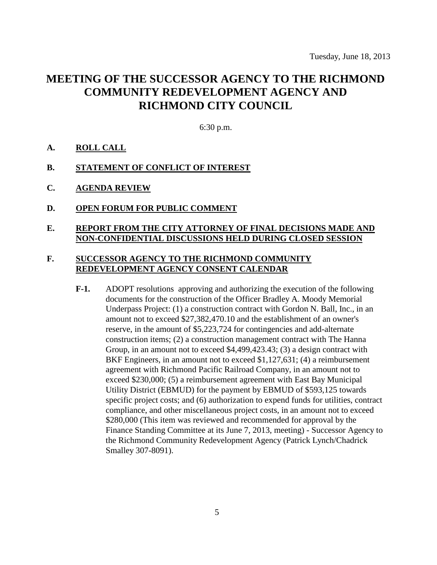# **MEETING OF THE SUCCESSOR AGENCY TO THE RICHMOND COMMUNITY REDEVELOPMENT AGENCY AND RICHMOND CITY COUNCIL**

6:30 p.m.

- **A. ROLL CALL**
- **B. STATEMENT OF CONFLICT OF INTEREST**
- **C. AGENDA REVIEW**
- **D. OPEN FORUM FOR PUBLIC COMMENT**

### **E. REPORT FROM THE CITY ATTORNEY OF FINAL DECISIONS MADE AND NON-CONFIDENTIAL DISCUSSIONS HELD DURING CLOSED SESSION**

### **F. SUCCESSOR AGENCY TO THE RICHMOND COMMUNITY REDEVELOPMENT AGENCY CONSENT CALENDAR**

**F-1.** ADOPT resolutions approving and authorizing the execution of the following documents for the construction of the Officer Bradley A. Moody Memorial Underpass Project: (1) a construction contract with Gordon N. Ball, Inc., in an amount not to exceed \$27,382,470.10 and the establishment of an owner's reserve, in the amount of \$5,223,724 for contingencies and add-alternate construction items; (2) a construction management contract with The Hanna Group, in an amount not to exceed \$4,499,423.43; (3) a design contract with BKF Engineers, in an amount not to exceed \$1,127,631; (4) a reimbursement agreement with Richmond Pacific Railroad Company, in an amount not to exceed \$230,000; (5) a reimbursement agreement with East Bay Municipal Utility District (EBMUD) for the payment by EBMUD of \$593,125 towards specific project costs; and (6) authorization to expend funds for utilities, contract compliance, and other miscellaneous project costs, in an amount not to exceed \$280,000 (This item was reviewed and recommended for approval by the Finance Standing Committee at its June 7, 2013, meeting) - Successor Agency to the Richmond Community Redevelopment Agency (Patrick Lynch/Chadrick Smalley 307-8091).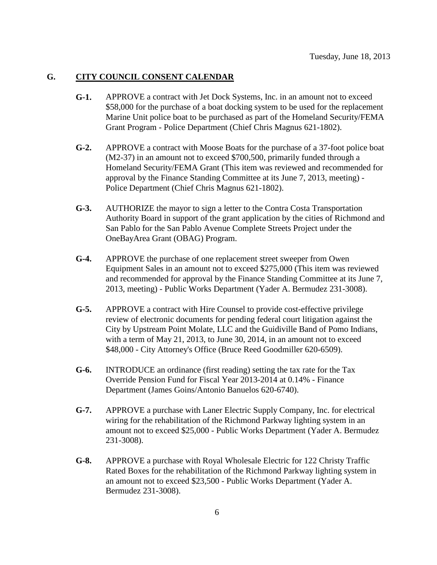#### **G. CITY COUNCIL CONSENT CALENDAR**

- **G-1.** APPROVE a contract with Jet Dock Systems, Inc. in an amount not to exceed \$58,000 for the purchase of a boat docking system to be used for the replacement Marine Unit police boat to be purchased as part of the Homeland Security/FEMA Grant Program - Police Department (Chief Chris Magnus 621-1802).
- **G-2.** APPROVE a contract with Moose Boats for the purchase of a 37-foot police boat (M2-37) in an amount not to exceed \$700,500, primarily funded through a Homeland Security/FEMA Grant (This item was reviewed and recommended for approval by the Finance Standing Committee at its June 7, 2013, meeting) - Police Department (Chief Chris Magnus 621-1802).
- **G-3.** AUTHORIZE the mayor to sign a letter to the Contra Costa Transportation Authority Board in support of the grant application by the cities of Richmond and San Pablo for the San Pablo Avenue Complete Streets Project under the OneBayArea Grant (OBAG) Program.
- **G-4.** APPROVE the purchase of one replacement street sweeper from Owen Equipment Sales in an amount not to exceed \$275,000 (This item was reviewed and recommended for approval by the Finance Standing Committee at its June 7, 2013, meeting) - Public Works Department (Yader A. Bermudez 231-3008).
- **G-5.** APPROVE a contract with Hire Counsel to provide cost-effective privilege review of electronic documents for pending federal court litigation against the City by Upstream Point Molate, LLC and the Guidiville Band of Pomo Indians, with a term of May 21, 2013, to June 30, 2014, in an amount not to exceed \$48,000 - City Attorney's Office (Bruce Reed Goodmiller 620-6509).
- **G-6.** INTRODUCE an ordinance (first reading) setting the tax rate for the Tax Override Pension Fund for Fiscal Year 2013-2014 at 0.14% - Finance Department (James Goins/Antonio Banuelos 620-6740).
- **G-7.** APPROVE a purchase with Laner Electric Supply Company, Inc. for electrical wiring for the rehabilitation of the Richmond Parkway lighting system in an amount not to exceed \$25,000 - Public Works Department (Yader A. Bermudez 231-3008).
- **G-8.** APPROVE a purchase with Royal Wholesale Electric for 122 Christy Traffic Rated Boxes for the rehabilitation of the Richmond Parkway lighting system in an amount not to exceed \$23,500 - Public Works Department (Yader A. Bermudez 231-3008).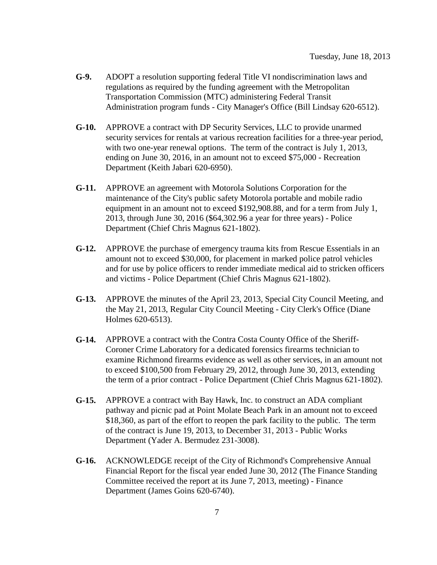- **G-9.** ADOPT a resolution supporting federal Title VI nondiscrimination laws and regulations as required by the funding agreement with the Metropolitan Transportation Commission (MTC) administering Federal Transit Administration program funds - City Manager's Office (Bill Lindsay 620-6512).
- **G-10.** APPROVE a contract with DP Security Services, LLC to provide unarmed security services for rentals at various recreation facilities for a three-year period, with two one-year renewal options. The term of the contract is July 1, 2013, ending on June 30, 2016, in an amount not to exceed \$75,000 - Recreation Department (Keith Jabari 620-6950).
- **G-11.** APPROVE an agreement with Motorola Solutions Corporation for the maintenance of the City's public safety Motorola portable and mobile radio equipment in an amount not to exceed \$192,908.88, and for a term from July 1, 2013, through June 30, 2016 (\$64,302.96 a year for three years) - Police Department (Chief Chris Magnus 621-1802).
- **G-12.** APPROVE the purchase of emergency trauma kits from Rescue Essentials in an amount not to exceed \$30,000, for placement in marked police patrol vehicles and for use by police officers to render immediate medical aid to stricken officers and victims - Police Department (Chief Chris Magnus 621-1802).
- **G-13.** APPROVE the minutes of the April 23, 2013, Special City Council Meeting, and the May 21, 2013, Regular City Council Meeting - City Clerk's Office (Diane Holmes 620-6513).
- **G-14.** APPROVE a contract with the Contra Costa County Office of the Sheriff-Coroner Crime Laboratory for a dedicated forensics firearms technician to examine Richmond firearms evidence as well as other services, in an amount not to exceed \$100,500 from February 29, 2012, through June 30, 2013, extending the term of a prior contract - Police Department (Chief Chris Magnus 621-1802).
- **G-15.** APPROVE a contract with Bay Hawk, Inc. to construct an ADA compliant pathway and picnic pad at Point Molate Beach Park in an amount not to exceed \$18,360, as part of the effort to reopen the park facility to the public. The term of the contract is June 19, 2013, to December 31, 2013 - Public Works Department (Yader A. Bermudez 231-3008).
- **G-16.** ACKNOWLEDGE receipt of the City of Richmond's Comprehensive Annual Financial Report for the fiscal year ended June 30, 2012 (The Finance Standing Committee received the report at its June 7, 2013, meeting) - Finance Department (James Goins 620-6740).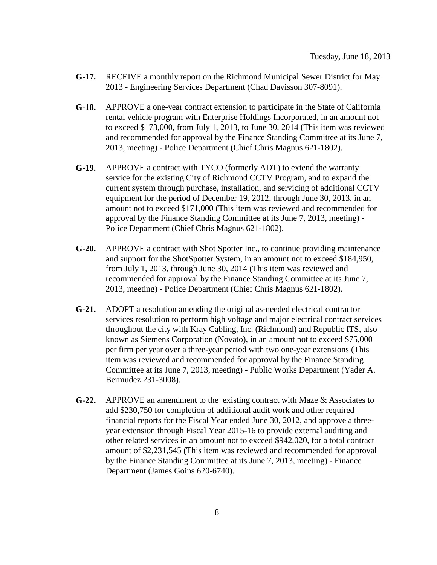- **G-17.** RECEIVE a monthly report on the Richmond Municipal Sewer District for May 2013 - Engineering Services Department (Chad Davisson 307-8091).
- **G-18.** APPROVE a one-year contract extension to participate in the State of California rental vehicle program with Enterprise Holdings Incorporated, in an amount not to exceed \$173,000, from July 1, 2013, to June 30, 2014 (This item was reviewed and recommended for approval by the Finance Standing Committee at its June 7, 2013, meeting) - Police Department (Chief Chris Magnus 621-1802).
- **G-19.** APPROVE a contract with TYCO (formerly ADT) to extend the warranty service for the existing City of Richmond CCTV Program, and to expand the current system through purchase, installation, and servicing of additional CCTV equipment for the period of December 19, 2012, through June 30, 2013, in an amount not to exceed \$171,000 (This item was reviewed and recommended for approval by the Finance Standing Committee at its June 7, 2013, meeting) - Police Department (Chief Chris Magnus 621-1802).
- **G-20.** APPROVE a contract with Shot Spotter Inc., to continue providing maintenance and support for the ShotSpotter System, in an amount not to exceed \$184,950, from July 1, 2013, through June 30, 2014 (This item was reviewed and recommended for approval by the Finance Standing Committee at its June 7, 2013, meeting) - Police Department (Chief Chris Magnus 621-1802).
- **G-21.** ADOPT a resolution amending the original as-needed electrical contractor services resolution to perform high voltage and major electrical contract services throughout the city with Kray Cabling, Inc. (Richmond) and Republic ITS, also known as Siemens Corporation (Novato), in an amount not to exceed \$75,000 per firm per year over a three-year period with two one-year extensions (This item was reviewed and recommended for approval by the Finance Standing Committee at its June 7, 2013, meeting) - Public Works Department (Yader A. Bermudez 231-3008).
- **G-22.** APPROVE an amendment to the existing contract with Maze & Associates to add \$230,750 for completion of additional audit work and other required financial reports for the Fiscal Year ended June 30, 2012, and approve a threeyear extension through Fiscal Year 2015-16 to provide external auditing and other related services in an amount not to exceed \$942,020, for a total contract amount of \$2,231,545 (This item was reviewed and recommended for approval by the Finance Standing Committee at its June 7, 2013, meeting) - Finance Department (James Goins 620-6740).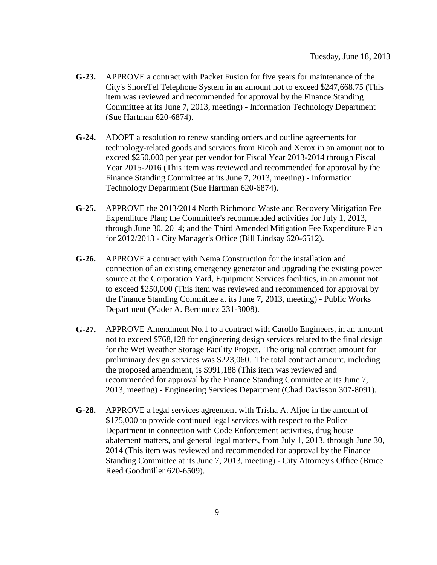- **G-23.** APPROVE a contract with Packet Fusion for five years for maintenance of the City's ShoreTel Telephone System in an amount not to exceed \$247,668.75 (This item was reviewed and recommended for approval by the Finance Standing Committee at its June 7, 2013, meeting) - Information Technology Department (Sue Hartman 620-6874).
- **G-24.** ADOPT a resolution to renew standing orders and outline agreements for technology-related goods and services from Ricoh and Xerox in an amount not to exceed \$250,000 per year per vendor for Fiscal Year 2013-2014 through Fiscal Year 2015-2016 (This item was reviewed and recommended for approval by the Finance Standing Committee at its June 7, 2013, meeting) - Information Technology Department (Sue Hartman 620-6874).
- **G-25.** APPROVE the 2013/2014 North Richmond Waste and Recovery Mitigation Fee Expenditure Plan; the Committee's recommended activities for July 1, 2013, through June 30, 2014; and the Third Amended Mitigation Fee Expenditure Plan for 2012/2013 - City Manager's Office (Bill Lindsay 620-6512).
- **G-26.** APPROVE a contract with Nema Construction for the installation and connection of an existing emergency generator and upgrading the existing power source at the Corporation Yard, Equipment Services facilities, in an amount not to exceed \$250,000 (This item was reviewed and recommended for approval by the Finance Standing Committee at its June 7, 2013, meeting) - Public Works Department (Yader A. Bermudez 231-3008).
- **G-27.** APPROVE Amendment No.1 to a contract with Carollo Engineers, in an amount not to exceed \$768,128 for engineering design services related to the final design for the Wet Weather Storage Facility Project. The original contract amount for preliminary design services was \$223,060. The total contract amount, including the proposed amendment, is \$991,188 (This item was reviewed and recommended for approval by the Finance Standing Committee at its June 7, 2013, meeting) - Engineering Services Department (Chad Davisson 307-8091).
- **G-28.** APPROVE a legal services agreement with Trisha A. Aljoe in the amount of \$175,000 to provide continued legal services with respect to the Police Department in connection with Code Enforcement activities, drug house abatement matters, and general legal matters, from July 1, 2013, through June 30, 2014 (This item was reviewed and recommended for approval by the Finance Standing Committee at its June 7, 2013, meeting) - City Attorney's Office (Bruce Reed Goodmiller 620-6509).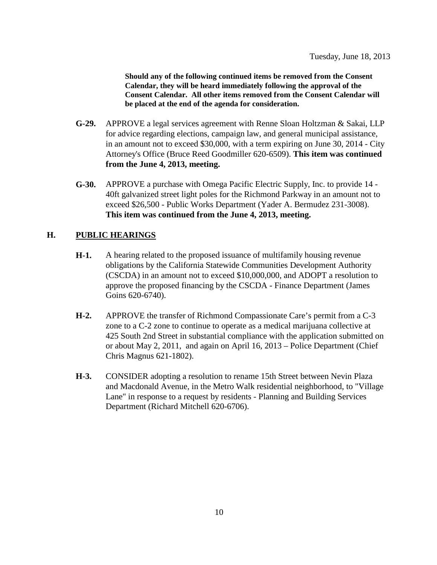**Should any of the following continued items be removed from the Consent Calendar, they will be heard immediately following the approval of the Consent Calendar. All other items removed from the Consent Calendar will be placed at the end of the agenda for consideration.**

- **G-29.** APPROVE a legal services agreement with Renne Sloan Holtzman & Sakai, LLP for advice regarding elections, campaign law, and general municipal assistance, in an amount not to exceed \$30,000, with a term expiring on June 30, 2014 - City Attorney's Office (Bruce Reed Goodmiller 620-6509). **This item was continued from the June 4, 2013, meeting.**
- **G-30.** APPROVE a purchase with Omega Pacific Electric Supply, Inc. to provide 14 40ft galvanized street light poles for the Richmond Parkway in an amount not to exceed \$26,500 - Public Works Department (Yader A. Bermudez 231-3008). **This item was continued from the June 4, 2013, meeting.**

# **H. PUBLIC HEARINGS**

- **H-1.** A hearing related to the proposed issuance of multifamily housing revenue obligations by the California Statewide Communities Development Authority (CSCDA) in an amount not to exceed \$10,000,000, and ADOPT a resolution to approve the proposed financing by the CSCDA - Finance Department (James Goins 620-6740).
- **H-2.** APPROVE the transfer of Richmond Compassionate Care's permit from a C-3 zone to a C-2 zone to continue to operate as a medical marijuana collective at 425 South 2nd Street in substantial compliance with the application submitted on or about May 2, 2011, and again on April 16, 2013 – Police Department (Chief Chris Magnus 621-1802).
- **H-3.** CONSIDER adopting a resolution to rename 15th Street between Nevin Plaza and Macdonald Avenue, in the Metro Walk residential neighborhood, to "Village Lane" in response to a request by residents - Planning and Building Services Department (Richard Mitchell 620-6706).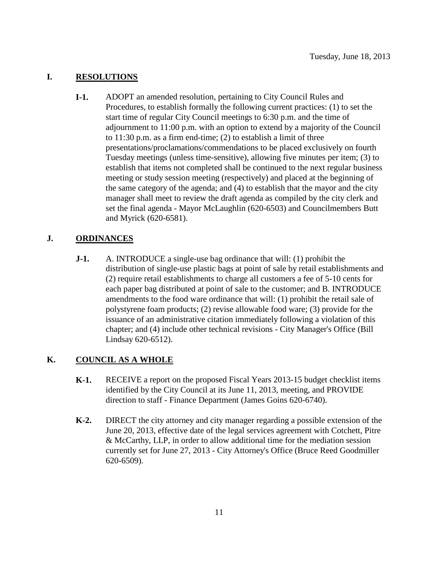# **I. RESOLUTIONS**

**I-1.** ADOPT an amended resolution, pertaining to City Council Rules and Procedures, to establish formally the following current practices: (1) to set the start time of regular City Council meetings to 6:30 p.m. and the time of adjournment to 11:00 p.m. with an option to extend by a majority of the Council to 11:30 p.m. as a firm end-time; (2) to establish a limit of three presentations/proclamations/commendations to be placed exclusively on fourth Tuesday meetings (unless time-sensitive), allowing five minutes per item; (3) to establish that items not completed shall be continued to the next regular business meeting or study session meeting (respectively) and placed at the beginning of the same category of the agenda; and (4) to establish that the mayor and the city manager shall meet to review the draft agenda as compiled by the city clerk and set the final agenda - Mayor McLaughlin (620-6503) and Councilmembers Butt and Myrick (620-6581).

# **J. ORDINANCES**

**J-1.** A. INTRODUCE a single-use bag ordinance that will: (1) prohibit the distribution of single-use plastic bags at point of sale by retail establishments and (2) require retail establishments to charge all customers a fee of 5-10 cents for each paper bag distributed at point of sale to the customer; and B. INTRODUCE amendments to the food ware ordinance that will: (1) prohibit the retail sale of polystyrene foam products; (2) revise allowable food ware; (3) provide for the issuance of an administrative citation immediately following a violation of this chapter; and (4) include other technical revisions - City Manager's Office (Bill Lindsay 620-6512).

### **K. COUNCIL AS A WHOLE**

- **K-1.** RECEIVE a report on the proposed Fiscal Years 2013-15 budget checklist items identified by the City Council at its June 11, 2013, meeting, and PROVIDE direction to staff - Finance Department (James Goins 620-6740).
- **K-2.** DIRECT the city attorney and city manager regarding a possible extension of the June 20, 2013, effective date of the legal services agreement with Cotchett, Pitre & McCarthy, LLP, in order to allow additional time for the mediation session currently set for June 27, 2013 - City Attorney's Office (Bruce Reed Goodmiller 620-6509).